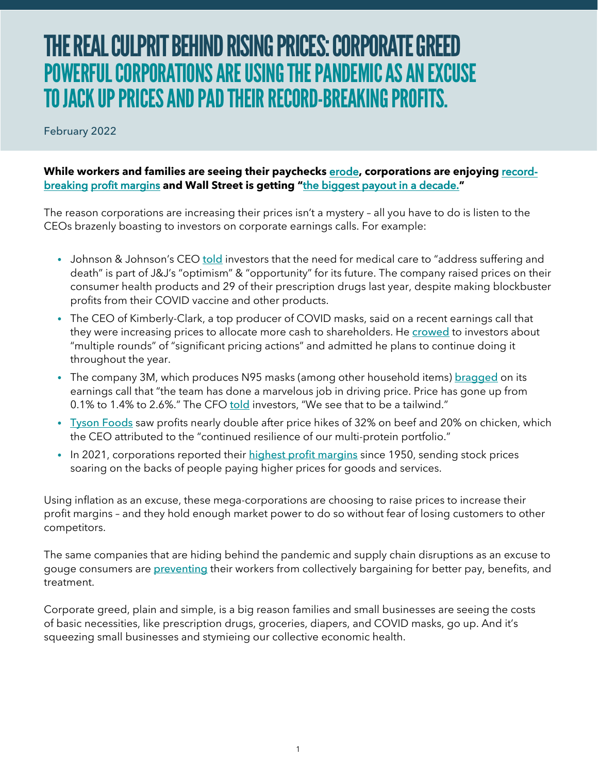## THE REAL CULPRIT BEHIND RISING PRICES: CORPORATE GREED POWERFUL CORPORATIONS ARE USING THE PANDEMIC AS AN EXCUSE TO JACK UP PRICES AND PAD THEIR RECORD-BREAKING PROFITS.

February 2022

## **[While workers and families are seeing their paychecks](https://www.businessinsider.com/corporate-profits-are-high-despite-inflation-and-shortages-2021-11)** [erode](https://www.washingtonpost.com/business/2022/02/13/low-income-high-inflation-inequality/)**, corporations are enjoying** recordbreaking [profit margins](https://www.businessinsider.com/corporate-profits-are-high-despite-inflation-and-shortages-2021-11) **and Wall Street is getting "**[the biggest payout in a decade.](https://www.bloomberg.com/news/articles/2022-02-02/wall-street-s-big-bonuses-are-back-and-bankers-are-buying-yachts-champagne)**"**

The reason corporations are increasing their prices isn't a mystery – all you have to do is listen to the CEOs brazenly boasting to investors on corporate earnings calls. For example:

- Johnson & Johnson's CEO [told](https://www.fool.com/earnings/call-transcripts/2022/01/25/johnson-johnson-jnj-q4-2021-earnings-call-transcri/?source=iedfolrf0000001) investors that the need for medical care to "address suffering and death" is part of J&J's "optimism" & "opportunity" for its future. The company raised prices on their consumer health products and 29 of their prescription drugs last year, despite making blockbuster profits from their COVID vaccine and other products.
- **•** The CEO of Kimberly-Clark, a top producer of COVID masks, said on a recent earnings call that they were increasing prices to allocate more cash to shareholders. He [crowed](https://seekingalpha.com/article/4481837-kimberly-clark-corporation-kmb-ceo-mike-hsu-on-q4-2021-results-earnings-call-transcript) to investors about "multiple rounds" of "significant pricing actions" and admitted he plans to continue doing it throughout the year.
- The company 3M, which produces N95 masks (among other household items) [bragged](https://www.fool.com/earnings/call-transcripts/2022/01/25/3m-mmm-q4-2021-earnings-call-transcript/?source=iedfolrf0000001) on its earnings call that "the team has done a marvelous job in driving price. Price has gone up from 0.1% to 1.4% to 2.6%." The CFO [told](https://www.fool.com/earnings/call-transcripts/2022/01/25/3m-mmm-q4-2021-earnings-call-transcript/?source=iedfolrf0000001) investors, "We see that to be a tailwind."
- [Tyson Foods](https://www.reuters.com/business/retail-consumer/tyson-foods-beats-revenue-estimates-higher-meat-prices-2022-02-07/) saw profits nearly double after price hikes of 32% on beef and 20% on chicken, which the CEO attributed to the "continued resilience of our multi-protein portfolio."
- In 2021, corporations reported their **[highest profit margins](https://www.bloomberg.com/news/articles/2021-11-30/fattest-profits-since-1950-debunk-inflation-story-spun-by-ceos?sref=azsh6QkL)** since 1950, sending stock prices soaring on the backs of people paying higher prices for goods and services.

Using inflation as an excuse, these mega-corporations are choosing to raise prices to increase their profit margins – and they hold enough market power to do so without fear of losing customers to other competitors.

The same companies that are hiding behind the pandemic and supply chain disruptions as an excuse to gouge consumers are **[preventing](https://www.accountable.us/news/report-big-trucking-companies-profiteering-off-of-supply-chain-crisis-while-blaming-self-inflicted-driver-shortage-for-price-hikes/)** their workers from collectively bargaining for better pay, benefits, and treatment.

Corporate greed, plain and simple, is a big reason families and small businesses are seeing the costs of basic necessities, like prescription drugs, groceries, diapers, and COVID masks, go up. And it's squeezing small businesses and stymieing our collective economic health.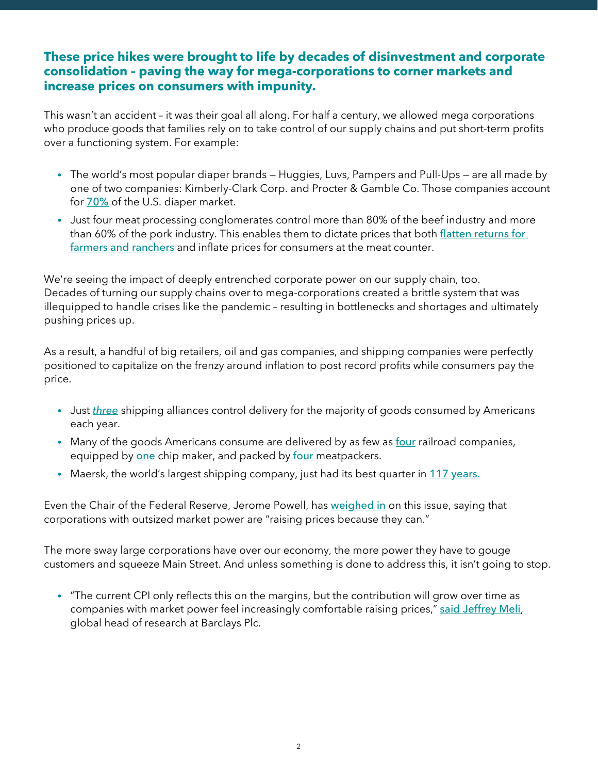## **These price hikes were brought to life by decades of disinvestment and corporate consolidation – paving the way for mega-corporations to corner markets and increase prices on consumers with impunity.**

This wasn't an accident – it was their goal all along. For half a century, we allowed mega corporations who produce goods that families rely on to take control of our supply chains and put short-term profits over a functioning system. For example:

- **•** The world's most popular diaper brands Huggies, Luvs, Pampers and Pull-Ups are all made by one of two companies: Kimberly-Clark Corp. and Procter & Gamble Co. Those companies account for [70%](https://www.bloomberg.com/news/articles/2021-07-09/diaper-costs-crush-families-as-p-g-and-kimberly-clark-pass-along-inflation?sref=azsh6QkL) of the U.S. diaper market.
- **•** Just four meat processing conglomerates control more than 80% of the beef industry and more than 60% of the pork industry. This enables them to dictate prices that both [flatten returns for](https://twitter.com/MorePerfectUS/status/1438241268937670661) [farmers and ranchers](https://twitter.com/MorePerfectUS/status/1438241268937670661) and inflate prices for consumers at the meat counter.

We're seeing the impact of deeply entrenched corporate power on our supply chain, too. Decades of turning our supply chains over to mega-corporations created a brittle system that was illequipped to handle crises like the pandemic – resulting in bottlenecks and shortages and ultimately pushing prices up.

As a result, a handful of big retailers, oil and gas companies, and shipping companies were perfectly positioned to capitalize on the frenzy around inflation to post record profits while consumers pay the price.

- **•** Just *[three](https://www.container-xchange.com/blog/shipping-alliances/)* shipping alliances control delivery for the majority of goods consumed by Americans each year.
- Many of the goods Americans consume are delivered by as few as [four](https://www.thenation.com/article/archive/how-america-could-collapse/) railroad companies, equipped by [one](https://www.wsj.com/articles/the-world-relies-on-one-chip-maker-in-taiwan-leaving-everyone-vulnerable-11624075400) chip maker, and packed by [four](https://prospect.org/power/big-four-meatpackers-crushing-small-ranchers/) meatpackers.
- **•** Maersk, the world's largest shipping company, just had its best quarter in [117 years.](https://www.forbes.com/sites/loracecere/2021/11/15/record-ocean-profits-will-not-help-united-states-supply-chains/)

Even the Chair of the Federal Reserve, Jerome Powell, has [weighed in](https://twitter.com/SenWarren/status/1480968784299110402) on this issue, saying that corporations with outsized market power are "raising prices because they can."

The more sway large corporations have over our economy, the more power they have to gouge customers and squeeze Main Street. And unless something is done to address this, it isn't going to stop.

**•** "The current CPI only reflects this on the margins, but the contribution will grow over time as companies with market power feel increasingly comfortable raising prices," [said Jeffrey Meli](https://www.bloomberg.com/news/articles/2022-01-14/inflation-risks-getting-sticky-as-big-firms-flex-pricing-power), global head of research at Barclays Plc.